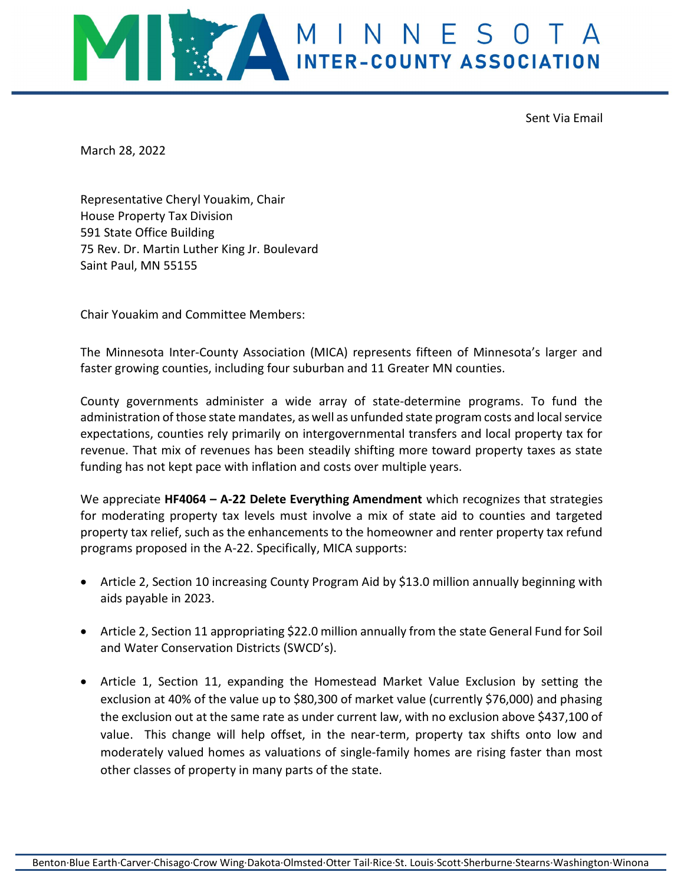

Sent Via Email

March 28, 2022

Representative Cheryl Youakim, Chair House Property Tax Division 591 State Office Building 75 Rev. Dr. Martin Luther King Jr. Boulevard Saint Paul, MN 55155

Chair Youakim and Committee Members:

The Minnesota Inter-County Association (MICA) represents fifteen of Minnesota's larger and faster growing counties, including four suburban and 11 Greater MN counties.

County governments administer a wide array of state-determine programs. To fund the administration of those state mandates, as well as unfunded state program costs and local service expectations, counties rely primarily on intergovernmental transfers and local property tax for revenue. That mix of revenues has been steadily shifting more toward property taxes as state funding has not kept pace with inflation and costs over multiple years.

We appreciate  $HF4064 - A-22$  Delete Everything Amendment which recognizes that strategies for moderating property tax levels must involve a mix of state aid to counties and targeted property tax relief, such as the enhancements to the homeowner and renter property tax refund programs proposed in the A-22. Specifically, MICA supports:

- Article 2, Section 10 increasing County Program Aid by \$13.0 million annually beginning with aids payable in 2023.
- Article 2, Section 11 appropriating \$22.0 million annually from the state General Fund for Soil and Water Conservation Districts (SWCD's).
- Article 1, Section 11, expanding the Homestead Market Value Exclusion by setting the exclusion at 40% of the value up to \$80,300 of market value (currently \$76,000) and phasing the exclusion out at the same rate as under current law, with no exclusion above \$437,100 of value. This change will help offset, in the near-term, property tax shifts onto low and moderately valued homes as valuations of single-family homes are rising faster than most other classes of property in many parts of the state.